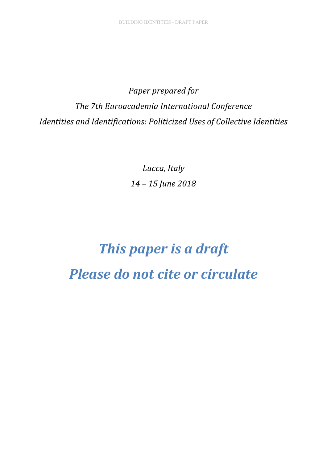*Paper prepared for The 7th Euroacademia International Conference Identities and Identifications: Politicized Uses of Collective Identities* 

> *Lucca, Italy 14 – 15 June 2018*

# *This paper is a draft Please do not cite or circulate*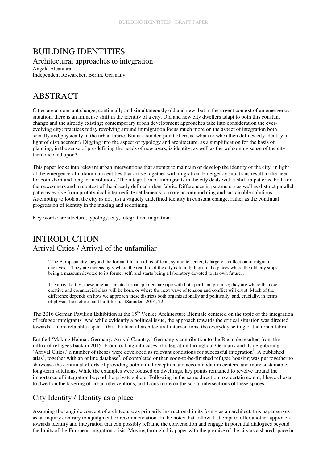### BUILDING IDENTITIES Architectural approaches to integration

Angela Alcantara Independent Researcher, Berlin, Germany

# ABSTRACT

Cities are at constant change, continually and simultaneously old and new, but in the urgent context of an emergency situation, there is an immense shift in the identity of a city. Old and new city dwellers adapt to both this constant change and the already existing; contemporary urban development approaches take into consideration the everevolving city; practices today revolving around immigration focus much more on the aspect of integration both socially and physically in the urban fabric. But at a sudden point of crisis, what (or who) then defines city identity in light of displacement? Digging into the aspect of typology and architecture, as a simplification for the basis of planning, in the sense of pre-defining the needs of new users, is identity, as well as the welcoming sense of the city, then, dictated upon?

This paper looks into relevant urban interventions that attempt to maintain or develop the identity of the city, in light of the emergence of unfamiliar identities that arrive together with migration. Emergency situations result to the need for both short and long term solutions. The integration of immigrants in the city deals with a shift in patterns, both for the newcomers and in context of the already defined urban fabric. Differences in parameters as well as distinct parallel patterns evolve from prototypical intermediate settlements to more accommodating and sustainable solutions. Attempting to look at the city as not just a vaguely undefined identity in constant change, rather as the continual progression of identity in the making and redefining.

Key words: architecture, typology, city, integration, migration

# **INTRODUCTION** Arrival Cities / Arrival of the unfamiliar

"The European city, beyond the formal illusion of its official, symbolic center, is largely a collection of migrant enclaves… They are increasingly where the real life of the city is found; they are the places where the old city stops being a museum devoted to its former self, and starts being a laboratory devoted to its own future…

The arrival cities, these migrant-created urban quarters are ripe with both peril and promise; they are where the new creative and commercial class will be born, or where the next wave of tension and conflict will erupt. Much of the difference depends on how we approach these districts both organizationally and politically, and, crucially, in terms of physical structures and built form." (Saunders 2016, 22)

The 2016 German Pavilion Exhibition at the 15<sup>th</sup> Venice Architecture Biennale centered on the topic of the integration of refugee immigrants. And while evidently a political issue, the approach towards the critical situation was directed towards a more relatable aspect– thru the face of architectural interventions, the everyday setting of the urban fabric.

Entitled 'Making Heimat. Germany, Arrival Country,' Germany's contribution to the Biennale resulted from the influx of refugees back in 2015. From looking into cases of integration throughout Germany and its neighboring 'Arrival Cities,' a number of theses were developed as relevant conditions for successful integration<sup>1</sup>. A published atlas<sup>2</sup>, together with an online database<sup>3</sup>, of completed or then soon-to-be-finished refugee housing was put together to showcase the continual efforts of providing both initial reception and accommodation centers, and more sustainable long-term solutions. While the examples were focused on dwellings, key points remained to revolve around the importance of integration beyond the private sphere. Following in the same direction to a certain extent, I have chosen to dwell on the layering of urban interventions, and focus more on the social intersections of these spaces.

## City Identity / Identity as a place

Assuming the tangible concept of architecture as primarily instructional in its form– as an architect, this paper serves as an inquiry contrary to a judgment or recommendation. In the notes that follow, I attempt to offer another approach towards identity and integration that can possibly reframe the conversation and engage in potential dialogues beyond the limits of the European migration crisis. Moving through this paper with the premise of the city as a shared space in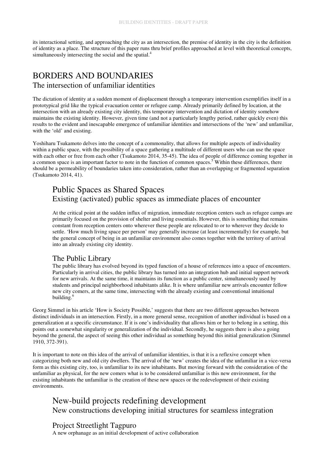its interactional setting, and approaching the city as an intersection, the premise of identity in the city is the definition of identity as a place. The structure of this paper runs thru brief profiles approached at level with theoretical concepts, simultaneously intersecting the social and the spatial.<sup>4</sup>

# BORDERS AND BOUNDARIES

#### The intersection of unfamiliar identities

The dictation of identity at a sudden moment of displacement through a temporary intervention exemplifies itself in a prototypical grid like the typical evacuation center or refugee camp. Already primarily defined by location, at the intersection with an already existing city identity, this temporary intervention and dictation of identity somehow maintains the existing identity. However, given time (and not a particularly lengthy period, rather quickly even) this results to the evident and inescapable emergence of unfamiliar identities and intersections of the 'new' and unfamiliar, with the 'old' and existing.

Yoshiharu Tsukamoto delves into the concept of a commonality, that allows for multiple aspects of individuality within a public space, with the possibility of a space gathering a multitude of different users who can use the space with each other or free from each other (Tsukamoto 2014, 35-45). The idea of people of difference coming together in a common space is an important factor to note in the function of common spaces.<sup>5</sup> Within these differences, there should be a permeability of boundaries taken into consideration, rather than an overlapping or fragmented separation (Tsukamoto 2014, 41).

## Public Spaces as Shared Spaces Existing (activated) public spaces as immediate places of encounter

At the critical point at the sudden influx of migration, immediate reception centers such as refugee camps are primarily focused on the provision of shelter and living essentials. However, this is something that remains constant from reception centers onto wherever these people are relocated to or to wherever they decide to settle. 'How much living space per person' may generally increase (at least incrementally) for example, but the general concept of being in an unfamiliar environment also comes together with the territory of arrival into an already existing city identity.

#### The Public Library

The public library has evolved beyond its typed function of a house of references into a space of encounters. Particularly in arrival cities, the public library has turned into an integration hub and initial support network for new arrivals. At the same time, it maintains its function as a public center, simultaneously used by students and principal neighborhood inhabitants alike. It is where unfamiliar new arrivals encounter fellow new city comers, at the same time, intersecting with the already existing and conventional intuitional building.<sup>6</sup>

Georg Simmel in his article 'How is Society Possible,' suggests that there are two different approaches between distinct individuals in an intersection. Firstly, in a more general sense, recognition of another individual is based on a generalization at a specific circumstance. If it is one's individuality that allows him or her to belong in a setting, this points out a somewhat singularity or generalization of the individual. Secondly, he suggests there is also a going beyond the general, the aspect of seeing this other individual as something beyond this initial generalization (Simmel 1910, 372-391).

It is important to note on this idea of the arrival of unfamiliar identities, is that it is a reflexive concept when categorizing both new and old city dwellers. The arrival of the 'new' creates the idea of the unfamiliar in a vice-versa form as this existing city, too, is unfamiliar to its new inhabitants. But moving forward with the consideration of the unfamiliar as physical, for the new comers what is to be considered unfamiliar is this new environment, for the existing inhabitants the unfamiliar is the creation of these new spaces or the redevelopment of their existing environments.

## New-build projects redefining development New constructions developing initial structures for seamless integration

#### Project Streetlight Tagpuro

A new orphanage as an initial development of active collaboration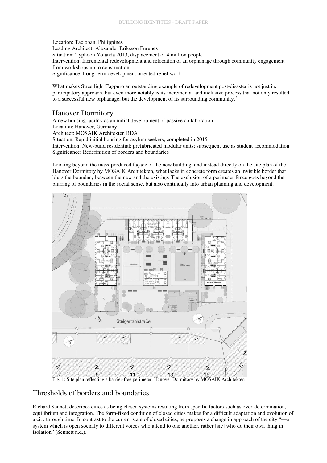Location: Tacloban, Philippines Leading Architect: Alexander Eriksson Furunes Situation: Typhoon Yolanda 2013, displacement of 4 million people Intervention: Incremental redevelopment and relocation of an orphanage through community engagement from workshops up to construction Significance: Long-term development oriented relief work

What makes Streetlight Tagpuro an outstanding example of redevelopment post-disaster is not just its participatory approach, but even more notably is its incremental and inclusive process that not only resulted to a successful new orphanage, but the development of its surrounding community.<sup>7</sup>

#### Hanover Dormitory

A new housing facility as an initial development of passive collaboration

Location: Hanover, Germany Architect: MOSAIK Architekten BDA

Situation: Rapid initial housing for asylum seekers, completed in 2015 Intervention: New-build residential; prefabricated modular units; subsequent use as student accommodation Significance: Redefinition of borders and boundaries

Looking beyond the mass-produced façade of the new building, and instead directly on the site plan of the Hanover Dormitory by MOSAIK Architekten, what lacks in concrete form creates an invisible border that blurs the boundary between the new and the existing. The exclusion of a perimeter fence goes beyond the blurring of boundaries in the social sense, but also continually into urban planning and development.



#### Thresholds of borders and boundaries

Richard Sennett describes cities as being closed systems resulting from specific factors such as over-determination, equilibrium and integration. The form-fixed condition of closed cities makes for a difficult adaptation and evolution of a city through time. In contrast to the current state of closed cities, he proposes a change in approach of the city "—a system which is open socially to different voices who attend to one another, rather [sic] who do their own thing in isolation" (Sennett n.d.).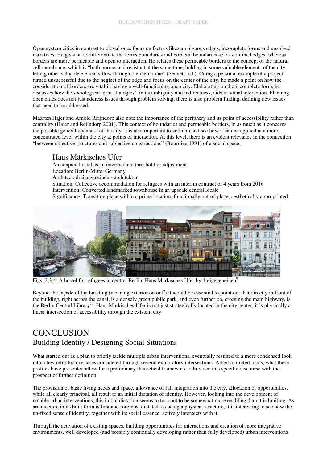Open system cities in contrast to closed ones focus on factors likes ambiguous edges, incomplete forms and unsolved narratives. He goes on to differentiate the terms boundaries and borders; boundaries act as confined edges, whereas borders are more permeable and open to interaction. He relates these permeable borders to the concept of the natural cell membrane, which is "both porous and resistant at the same time, holding in some valuable elements of the city, letting other valuable elements flow through the membrane" (Sennett n.d.). Citing a personal example of a project turned unsuccessful due to the neglect of the edge and focus on the center of the city, he made a point on how the consideration of borders are vital in having a well-functioning open city. Elaborating on the incomplete form, he discusses how the sociological term 'dialogics', in its ambiguity and indirectness, aids in social interaction. Planning open cities does not just address issues through problem solving, there is also problem finding, defining new issues that need to be addressed.

Maarten Hajer and Arnold Reijndorp also note the importance of the periphery and its point of accessibility rather than centrality (Hajer and Reijndorp 2001). This context of boundaries and permeable borders, in as much as it concerns the possible general openness of the city, it is also important to zoom in and see how it can be applied at a more concentrated level within the city at points of interaction. At this level, there is an evident relevance in the connection "between objective structures and subjective constructions" (Bourdieu 1991) of a social space.

#### Haus Märkisches Ufer

An adapted hostel as an intermediate threshold of adjustment Location: Berlin-Mitte, Germany Architect: dreigegeneinen - architektur Situation: Collective accommodation for refugees with an interim contract of 4 years from 2016 Intervention: Converted landmarked townhouse in an upscale central locale Significance: Transition place within a prime location, functionally out-of-place, aesthetically appropriated



Figs. 2,3,4: A hostel for refugees in central Berlin, Haus Märkisches Ufer by dreigegeneinen

Beyond the façade of the building (meaning exterior on out<sup>9</sup>) it would be essential to point out that directly in front of the building, right across the canal, is a densely green public park, and even further on, crossing the main highway, is the Berlin Central Library<sup>10</sup>. Haus Märkisches Ufer is not just strategically located in the city center, it is physically a linear intersection of accessibility through the existent city.

# **CONCLUSION** Building Identity / Designing Social Situations

What started out as a plan to briefly tackle multiple urban interventions, eventually resulted to a more condensed look into a few introductory cases considered through several exploratory intersections. Albeit a limited locus, what these profiles have presented allow for a preliminary theoretical framework to broaden this specific discourse with the prospect of further definition.

The provision of basic living needs and space, allowance of full integration into the city, allocation of opportunities, while all clearly principal, all result to an initial dictation of identity. However, looking into the development of notable urban interventions, this initial dictation seems to turn out to be somewhat more enabling than it is limiting. As architecture in its built form is first and foremost dictated, as being a physical structure, it is interesting to see how the un-fixed sense of identity, together with its social essence, actively intersects with it.

Through the activation of existing spaces, building opportunities for interactions and creation of more integrative environments, well developed (and possibly continually developing rather than fully developed) urban interventions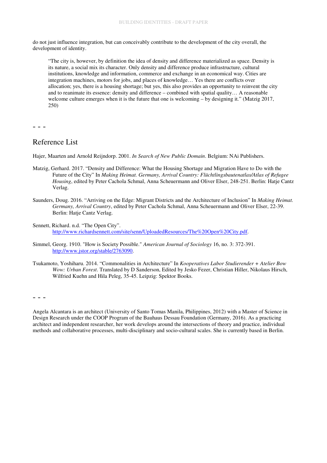do not just influence integration, but can conceivably contribute to the development of the city overall, the development of identity.

"The city is, however, by definition the idea of density and difference materialized as space. Density is its nature, a social mix its character. Only density and difference produce infrastructure, cultural institutions, knowledge and information, commerce and exchange in an economical way. Cities are integration machines, motors for jobs, and places of knowledge… Yes there are conflicts over allocation; yes, there is a housing shortage; but yes, this also provides an opportunity to reinvent the city and to reanimate its essence: density and difference – combined with spatial quality… A reasonable welcome culture emerges when it is the future that one is welcoming – by designing it." (Matzig 2017, 250)

- - -

#### Reference List

Hajer, Maarten and Arnold Reijndorp. 2001. *In Search of New Public Domain*. Belgium: NAi Publishers.

- Matzig, Gerhard. 2017. "Density and Difference: What the Housing Shortage and Migration Have to Do with the Future of the City" In *Making Heimat. Germany, Arrival Country: Flüchtlingsbautenatlas/Atlas of Refugee Housing*, edited by Peter Cachola Schmal, Anna Scheuermann and Oliver Elser, 248-251. Berlin: Hatje Cantz Verlag.
- Saunders, Doug. 2016. "Arriving on the Edge: Migrant Districts and the Architecture of Inclusion" In *Making Heimat. Germany, Arrival Country*, edited by Peter Cachola Schmal, Anna Scheuermann and Oliver Elser, 22-39. Berlin: Hatje Cantz Verlag.
- Sennett, Richard. n.d. "The Open City". http://www.richardsennett.com/site/senn/UploadedResources/The%20Open%20City.pdf.
- Simmel, Georg. 1910. "How is Society Possible." *American Journal of Sociology* 16, no. 3: 372-391. http://www.jstor.org/stable/2763090.
- Tsukamoto, Yoshiharu. 2014. "Commonalities in Architecture" In *Kooperatives Labor Studierender + Atelier Bow Wow: Urban Forest*. Translated by D Sanderson, Edited by Jesko Fezer, Christian Hiller, Nikolaus Hirsch, Wilfried Kuehn and Hila Peleg, 35-45. Leipzig: Spektor Books.

- - -

Angela Alcantara is an architect (University of Santo Tomas Manila, Philippines, 2012) with a Master of Science in Design Research under the COOP Program of the Bauhaus Dessau Foundation (Germany, 2016). As a practicing architect and independent researcher, her work develops around the intersections of theory and practice, individual methods and collaborative processes, multi-disciplinary and socio-cultural scales. She is currently based in Berlin.